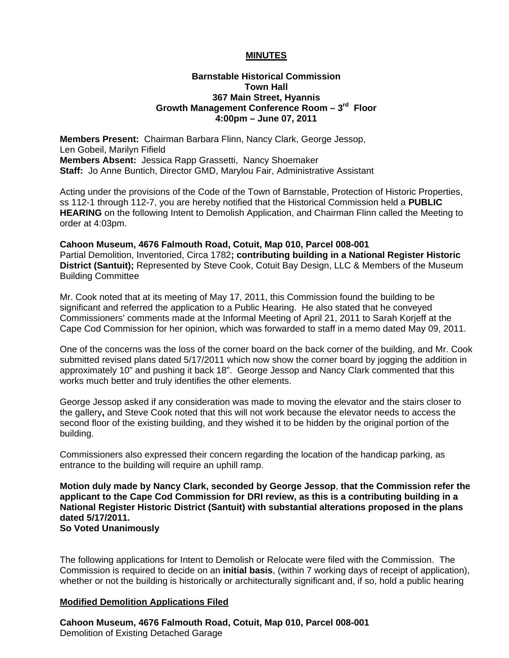## **MINUTES**

#### **Barnstable Historical Commission Town Hall 367 Main Street, Hyannis Growth Management Conference Room – 3rd Floor 4:00pm – June 07, 2011**

**Members Present:** Chairman Barbara Flinn, Nancy Clark, George Jessop, Len Gobeil, Marilyn Fifield **Members Absent:** Jessica Rapp Grassetti, Nancy Shoemaker **Staff:** Jo Anne Buntich, Director GMD, Marylou Fair, Administrative Assistant

Acting under the provisions of the Code of the Town of Barnstable, Protection of Historic Properties, ss 112-1 through 112-7, you are hereby notified that the Historical Commission held a **PUBLIC HEARING** on the following Intent to Demolish Application, and Chairman Flinn called the Meeting to order at 4:03pm.

**Cahoon Museum, 4676 Falmouth Road, Cotuit, Map 010, Parcel 008-001**  Partial Demolition, Inventoried, Circa 1782**; contributing building in a National Register Historic District (Santuit);** Represented by Steve Cook, Cotuit Bay Design, LLC & Members of the Museum Building Committee

Mr. Cook noted that at its meeting of May 17, 2011, this Commission found the building to be significant and referred the application to a Public Hearing. He also stated that he conveyed Commissioners' comments made at the Informal Meeting of April 21, 2011 to Sarah Korjeff at the Cape Cod Commission for her opinion, which was forwarded to staff in a memo dated May 09, 2011.

One of the concerns was the loss of the corner board on the back corner of the building, and Mr. Cook submitted revised plans dated 5/17/2011 which now show the corner board by jogging the addition in approximately 10" and pushing it back 18". George Jessop and Nancy Clark commented that this works much better and truly identifies the other elements.

George Jessop asked if any consideration was made to moving the elevator and the stairs closer to the gallery**,** and Steve Cook noted that this will not work because the elevator needs to access the second floor of the existing building, and they wished it to be hidden by the original portion of the building.

Commissioners also expressed their concern regarding the location of the handicap parking, as entrance to the building will require an uphill ramp.

**Motion duly made by Nancy Clark, seconded by George Jessop**, **that the Commission refer the applicant to the Cape Cod Commission for DRI review, as this is a contributing building in a National Register Historic District (Santuit) with substantial alterations proposed in the plans dated 5/17/2011. So Voted Unanimously** 

The following applications for Intent to Demolish or Relocate were filed with the Commission.The Commission is required to decide on an **initial basis**, (within 7 working days of receipt of application), whether or not the building is historically or architecturally significant and, if so, hold a public hearing

#### **Modified Demolition Applications Filed**

**Cahoon Museum, 4676 Falmouth Road, Cotuit, Map 010, Parcel 008-001**  Demolition of Existing Detached Garage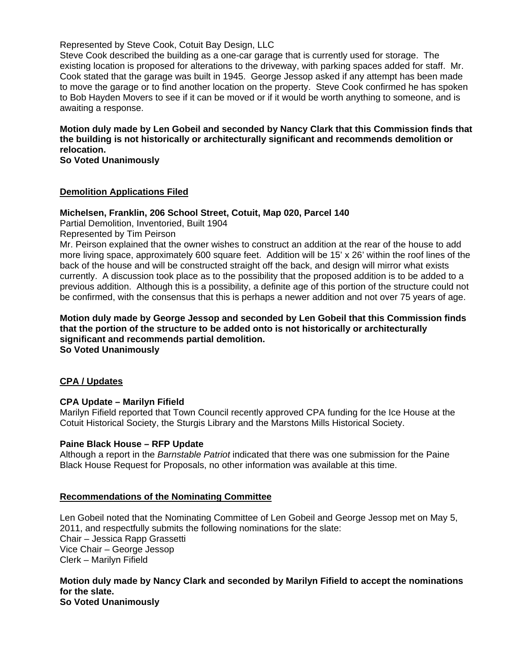## Represented by Steve Cook, Cotuit Bay Design, LLC

Steve Cook described the building as a one-car garage that is currently used for storage. The existing location is proposed for alterations to the driveway, with parking spaces added for staff. Mr. Cook stated that the garage was built in 1945. George Jessop asked if any attempt has been made to move the garage or to find another location on the property. Steve Cook confirmed he has spoken to Bob Hayden Movers to see if it can be moved or if it would be worth anything to someone, and is awaiting a response.

**Motion duly made by Len Gobeil and seconded by Nancy Clark that this Commission finds that the building is not historically or architecturally significant and recommends demolition or relocation.** 

**So Voted Unanimously** 

#### **Demolition Applications Filed**

#### **Michelsen, Franklin, 206 School Street, Cotuit, Map 020, Parcel 140**

Partial Demolition, Inventoried, Built 1904

Represented by Tim Peirson

Mr. Peirson explained that the owner wishes to construct an addition at the rear of the house to add more living space, approximately 600 square feet. Addition will be 15' x 26' within the roof lines of the back of the house and will be constructed straight off the back, and design will mirror what exists currently. A discussion took place as to the possibility that the proposed addition is to be added to a previous addition. Although this is a possibility, a definite age of this portion of the structure could not be confirmed, with the consensus that this is perhaps a newer addition and not over 75 years of age.

**Motion duly made by George Jessop and seconded by Len Gobeil that this Commission finds that the portion of the structure to be added onto is not historically or architecturally significant and recommends partial demolition. So Voted Unanimously** 

#### **CPA / Updates**

#### **CPA Update – Marilyn Fifield**

Marilyn Fifield reported that Town Council recently approved CPA funding for the Ice House at the Cotuit Historical Society, the Sturgis Library and the Marstons Mills Historical Society.

#### **Paine Black House – RFP Update**

Although a report in the *Barnstable Patriot* indicated that there was one submission for the Paine Black House Request for Proposals, no other information was available at this time.

#### **Recommendations of the Nominating Committee**

Len Gobeil noted that the Nominating Committee of Len Gobeil and George Jessop met on May 5, 2011, and respectfully submits the following nominations for the slate: Chair – Jessica Rapp Grassetti Vice Chair – George Jessop Clerk – Marilyn Fifield

# **Motion duly made by Nancy Clark and seconded by Marilyn Fifield to accept the nominations for the slate.**

**So Voted Unanimously**